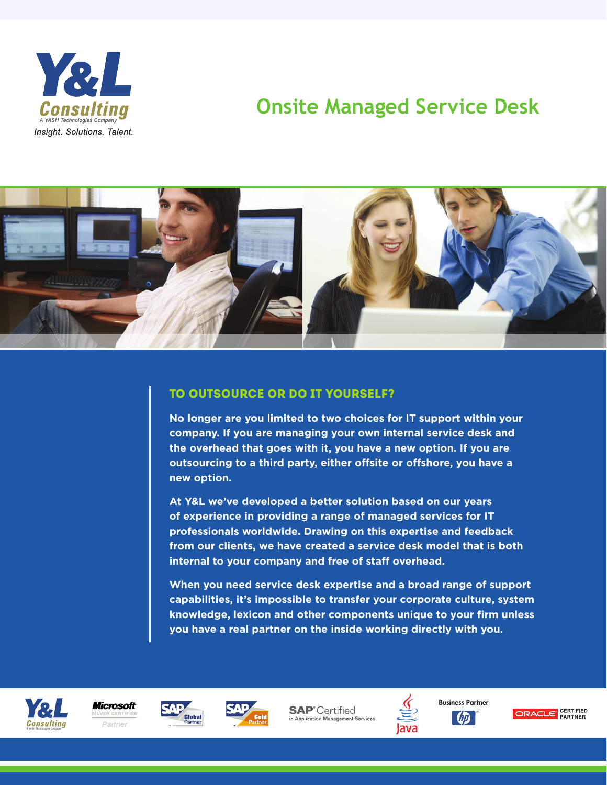

# **Onsite Managed Service Desk**



#### To outsource or do it yourself?

**No longer are you limited to two choices for IT support within your company. If you are managing your own internal service desk and the overhead that goes with it, you have a new option. If you are outsourcing to a third party, either offsite or offshore, you have a new option.**

**At Y&L we've developed a better solution based on our years of experience in providing a range of managed services for IT professionals worldwide. Drawing on this expertise and feedback from our clients, we have created a service desk model that is both internal to your company and free of staff overhead.**

**When you need service desk expertise and a broad range of support capabilities, it's impossible to transfer your corporate culture, system knowledge, lexicon and other components unique to your firm unless you have a real partner on the inside working directly with you.**









**SAP**<sup>\*</sup>Certified Application Management Services



Business Partner  $\omega$ 

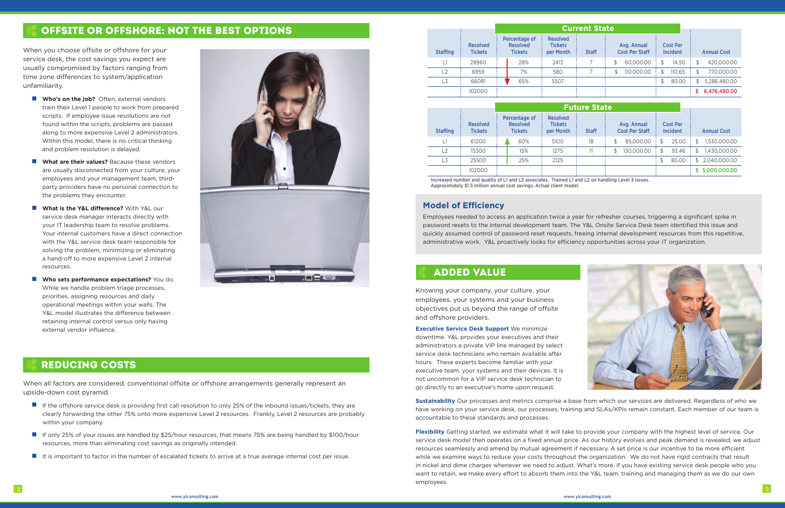

## Offsite or Offshore: Not the Best Options

When you choose offsite or offshore for your service desk, the cost savings you expect are usually compromised by factors ranging from time zone differences to system/application unfamiliarity.

- **No's on the job?** Often, external vendors train their Level 1 people to work from prepared scripts. If employee issue resolutions are not found within the scripts, problems are passed along to more expensive Level 2 administrators. Within this model, there is no critical thinking and problem resolution is delayed.
- **No What are their values?** Because these vendors are usually disconnected from your culture, your employees and your management team, thirdparty providers have no personal connection to the problems they encounter.
- **No What is the Y&L difference?** With Y&L our service desk manager interacts directly with your IT leadership team to resolve problems. Your internal customers have a direct connection with the Y&L service desk team responsible for solving the problem, minimizing or eliminating a hand-off to more expensive Level 2 internal resources.
- **No sets performance expectations?** You do. While we handle problem triage processes, priorities, assigning resources and daily operational meetings within your walls. The Y&L model illustrates the difference between retaining internal control versus only having external vendor influence.



When all factors are considered, conventional offsite or offshore arrangements generally represent an upside-down cost pyramid.

- **n** If the offshore service desk is providing first call resolution to only 25% of the inbound issues/tickets, they are clearly forwarding the other 75% onto more expensive Level 2 resources. Frankly, Level 2 resources are probably within your company.
- If only 25% of your issues are handled by \$25/hour resources, that means 75% are being handled by \$100/hour resources, more than eliminating cost savings as originally intended.
- It is important to factor in the number of escalated tickets to arrive at a true average internal cost per issue.

#### **Model of Efficiency**

Employees needed to access an application twice a year for refresher courses, triggering a significant spike in password resets to the internal development team. The Y&L Onsite Service Desk team identified this issue and quickly assumed control of password reset requests, freeing internal development resources from this repetitive, administrative work. Y&L proactively looks for efficiency opportunities across your IT organization.

Knowing your company, your culture, your employees, your systems and your business objectives put us beyond the range of offsite and offshore providers.

**Executive Service Desk Support** We minimize downtime. Y&L provides your executives and their administrators a private VIP line managed by select service desk technicians who remain available after hours. These experts become familiar with your executive team, your systems and their devices. It is not uncommon for a VIP service desk technician to go directly to an executive's home upon request.

### Reducing costs

## Added Value

**Sustainability** Our processes and metrics comprise a base from which our services are delivered. Regardless of who we have working on your service desk, our processes, training and SLAs/KPIs remain constant. Each member of our team is accountable to these standards and processes.

**Flexibility** Getting started, we estimate what it will take to provide your company with the highest level of service. Our service desk model then operates on a fixed annual price. As our history evolves and peak demand is revealed, we adjust resources seamlessly and amend by mutual agreement if necessary. A set price is our incentive to be more efficient while we examine ways to reduce your costs throughout the organization. We do not have rigid contracts that result in nickel and dime charges whenever we need to adjust. What's more, if you have existing service desk people who you want to retain, we make every effort to absorb them into the Y&L team, training and managing them as we do our own employees.

|                 |                                   | <b>Current State</b>                               |     |                                                |              |                                      |            |                             |        |                    |              |
|-----------------|-----------------------------------|----------------------------------------------------|-----|------------------------------------------------|--------------|--------------------------------------|------------|-----------------------------|--------|--------------------|--------------|
| <b>Staffing</b> | <b>Resolved</b><br><b>Tickets</b> | Percentage of<br><b>Resolved</b><br><b>Tickets</b> |     | <b>Resolved</b><br><b>Tickets</b><br>per Month | <b>Staff</b> | Avg. Annual<br><b>Cost Per Staff</b> |            | <b>Cost Per</b><br>Incident |        | <b>Annual Cost</b> |              |
| 1،              | 28960                             |                                                    | 28% | 2413                                           |              | \$                                   | 60,000.00  | \$                          | 14.50  | \$                 | 420,000.00   |
| L2              | 6959                              |                                                    | 7%  | 580                                            |              | \$                                   | 110,000,00 | \$                          | 110.65 | \$                 | 770,000,00   |
| L3              | 66081                             |                                                    | 65% | 5507                                           |              |                                      |            | \$                          | 80.00  | \$                 | 5,286,480.00 |
|                 | 102000                            |                                                    |     |                                                |              |                                      |            |                             |        | S.                 | 6,476,480.00 |

|                 |                                   | <b>Future State</b>                                |     |                                                                                                        |    |    |            |                                    |                    |    |                |
|-----------------|-----------------------------------|----------------------------------------------------|-----|--------------------------------------------------------------------------------------------------------|----|----|------------|------------------------------------|--------------------|----|----------------|
| <b>Staffing</b> | <b>Resolved</b><br><b>Tickets</b> | Percentage of<br><b>Resolved</b><br><b>Tickets</b> |     | <b>Resolved</b><br><b>Tickets</b><br>Avg. Annual<br><b>Cost Per Staff</b><br><b>Staff</b><br>per Month |    |    |            | <b>Cost Per</b><br><b>Incident</b> | <b>Annual Cost</b> |    |                |
|                 | 61200                             |                                                    | 60% | 5100                                                                                                   | 18 | \$ | 85,000,00  | S.                                 | 25.00              | \$ | 1,530,000.00   |
| L2              | 15300                             |                                                    | 15% | 1275                                                                                                   |    |    | 130,000,00 | S.                                 | 93.46              | \$ | 1,430,000,00   |
| L3              | 25500                             |                                                    | 25% | 2125                                                                                                   |    |    |            | \$                                 | 80.00              | \$ | 2.040.000.00   |
|                 | 102000                            |                                                    |     |                                                                                                        |    |    |            |                                    |                    |    | \$5,000,000.00 |

Increased number and quality of L1 and L2 associates. Trained L1 and L2 on handling Level 3 issues. Approximately \$1.5 million annual cost savings. Actual client model.